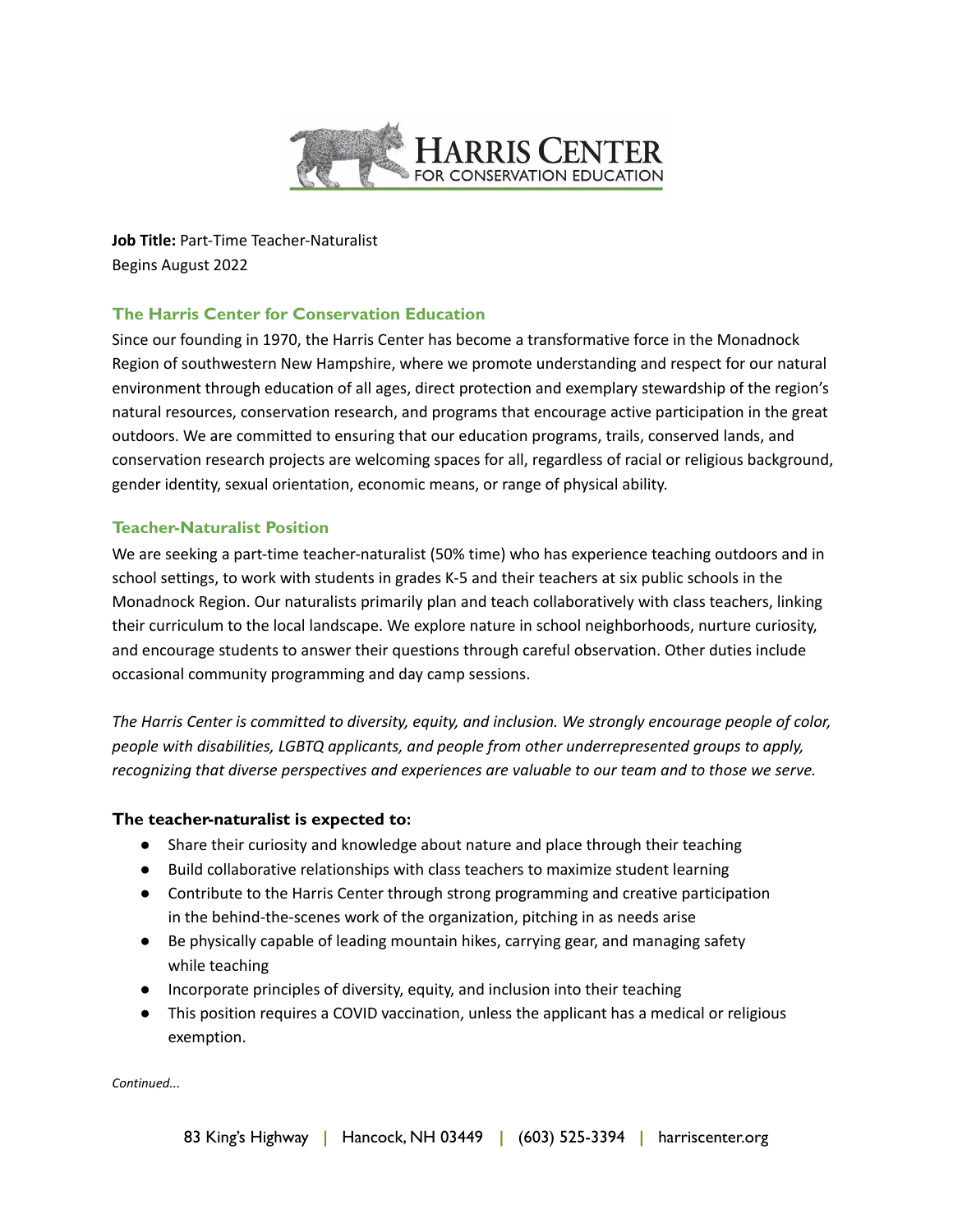

**Job Title:** Part-Time Teacher-Naturalist Begins August 2022

# **The Harris Center for Conservation Education**

Since our founding in 1970, the Harris Center has become a transformative force in the Monadnock Region of southwestern New Hampshire, where we promote understanding and respect for our natural environment through education of all ages, direct protection and exemplary stewardship of the region's natural resources, conservation research, and programs that encourage active participation in the great outdoors. We are committed to ensuring that our education programs, trails, conserved lands, and conservation research projects are welcoming spaces for all, regardless of racial or religious background, gender identity, sexual orientation, economic means, or range of physical ability.

# **Teacher-Naturalist Position**

We are seeking a part-time teacher-naturalist (50% time) who has experience teaching outdoors and in school settings, to work with students in grades K-5 and their teachers at six public schools in the Monadnock Region. Our naturalists primarily plan and teach collaboratively with class teachers, linking their curriculum to the local landscape. We explore nature in school neighborhoods, nurture curiosity, and encourage students to answer their questions through careful observation. Other duties include occasional community programming and day camp sessions.

*The Harris Center is committed to diversity, equity, and inclusion. We strongly encourage people of color, people with disabilities, LGBTQ applicants, and people from other underrepresented groups to apply, recognizing that diverse perspectives and experiences are valuable to our team and to those we serve.*

## **The teacher-naturalist is expected to:**

- Share their curiosity and knowledge about nature and place through their teaching
- Build collaborative relationships with class teachers to maximize student learning
- Contribute to the Harris Center through strong programming and creative participation in the behind-the-scenes work of the organization, pitching in as needs arise
- Be physically capable of leading mountain hikes, carrying gear, and managing safety while teaching
- Incorporate principles of diversity, equity, and inclusion into their teaching
- This position requires a COVID vaccination, unless the applicant has a medical or religious exemption.

*Continued...*